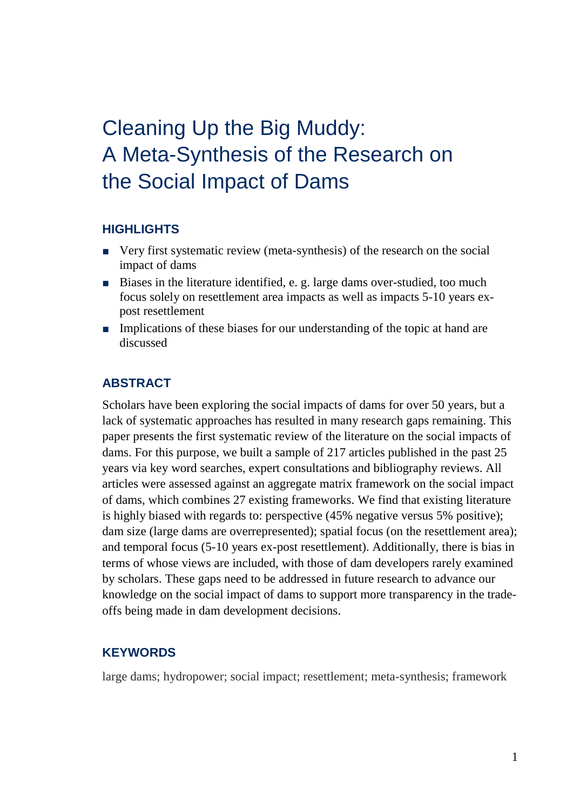# Cleaning Up the Big Muddy: A Meta-Synthesis of the Research on the Social Impact of Dams

### **HIGHLIGHTS**

- Very first systematic review (meta-synthesis) of the research on the social impact of dams
- Biases in the literature identified, e. g. large dams over-studied, too much focus solely on resettlement area impacts as well as impacts 5-10 years expost resettlement
- Implications of these biases for our understanding of the topic at hand are discussed

#### **ABSTRACT**

Scholars have been exploring the social impacts of dams for over 50 years, but a lack of systematic approaches has resulted in many research gaps remaining. This paper presents the first systematic review of the literature on the social impacts of dams. For this purpose, we built a sample of 217 articles published in the past 25 years via key word searches, expert consultations and bibliography reviews. All articles were assessed against an aggregate matrix framework on the social impact of dams, which combines 27 existing frameworks. We find that existing literature is highly biased with regards to: perspective (45% negative versus 5% positive); dam size (large dams are overrepresented); spatial focus (on the resettlement area); and temporal focus (5-10 years ex-post resettlement). Additionally, there is bias in terms of whose views are included, with those of dam developers rarely examined by scholars. These gaps need to be addressed in future research to advance our knowledge on the social impact of dams to support more transparency in the tradeoffs being made in dam development decisions.

#### **KEYWORDS**

large dams; hydropower; social impact; resettlement; meta-synthesis; framework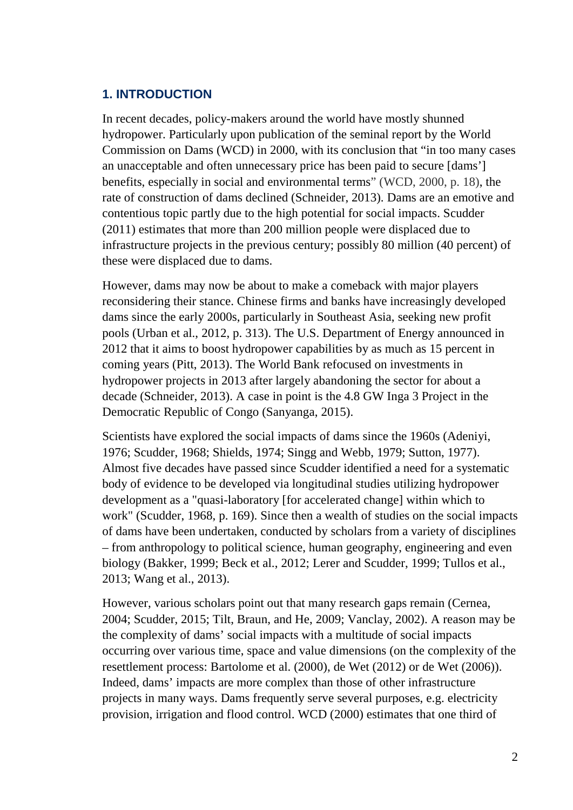## **1. INTRODUCTION**

In recent decades, policy-makers around the world have mostly shunned hydropower. Particularly upon publication of the seminal report by the World Commission on Dams (WCD) in 2000, with its conclusion that "in too many cases an unacceptable and often unnecessary price has been paid to secure [dams'] benefits, especially in social and environmental terms" (WCD, 2000, p. 18), the rate of construction of dams declined (Schneider, 2013). Dams are an emotive and contentious topic partly due to the high potential for social impacts. Scudder (2011) estimates that more than 200 million people were displaced due to infrastructure projects in the previous century; possibly 80 million (40 percent) of these were displaced due to dams.

However, dams may now be about to make a comeback with major players reconsidering their stance. Chinese firms and banks have increasingly developed dams since the early 2000s, particularly in Southeast Asia, seeking new profit pools (Urban et al., 2012, p. 313). The U.S. Department of Energy announced in 2012 that it aims to boost hydropower capabilities by as much as 15 percent in coming years (Pitt, 2013). The World Bank refocused on investments in hydropower projects in 2013 after largely abandoning the sector for about a decade (Schneider, 2013). A case in point is the 4.8 GW Inga 3 Project in the Democratic Republic of Congo (Sanyanga, 2015).

Scientists have explored the social impacts of dams since the 1960s (Adeniyi, 1976; Scudder, 1968; Shields, 1974; Singg and Webb, 1979; Sutton, 1977). Almost five decades have passed since Scudder identified a need for a systematic body of evidence to be developed via longitudinal studies utilizing hydropower development as a "quasi-laboratory [for accelerated change] within which to work" (Scudder, 1968, p. 169). Since then a wealth of studies on the social impacts of dams have been undertaken, conducted by scholars from a variety of disciplines – from anthropology to political science, human geography, engineering and even biology (Bakker, 1999; Beck et al., 2012; Lerer and Scudder, 1999; Tullos et al., 2013; Wang et al., 2013).

However, various scholars point out that many research gaps remain (Cernea, 2004; Scudder, 2015; Tilt, Braun, and He, 2009; Vanclay, 2002). A reason may be the complexity of dams' social impacts with a multitude of social impacts occurring over various time, space and value dimensions (on the complexity of the resettlement process: Bartolome et al. (2000), de Wet (2012) or de Wet (2006)). Indeed, dams' impacts are more complex than those of other infrastructure projects in many ways. Dams frequently serve several purposes, e.g. electricity provision, irrigation and flood control. WCD (2000) estimates that one third of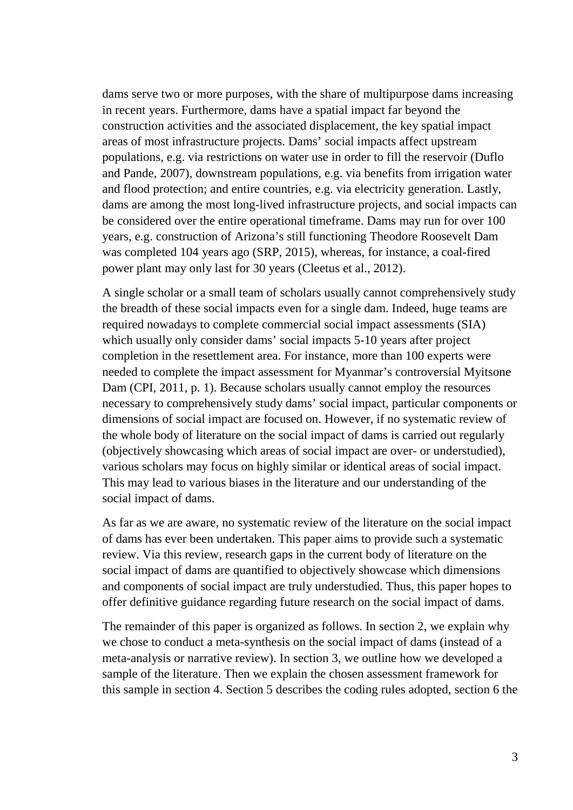dams serve two or more purposes, with the share of multipurpose dams increasing in recent years. Furthermore, dams have a spatial impact far beyond the construction activities and the associated displacement, the key spatial impact areas of most infrastructure projects. Dams' social impacts affect upstream populations, e.g. via restrictions on water use in order to fill the reservoir (Duflo and Pande, 2007), downstream populations, e.g. via benefits from irrigation water and flood protection; and entire countries, e.g. via electricity generation. Lastly, dams are among the most long-lived infrastructure projects, and social impacts can be considered over the entire operational timeframe. Dams may run for over 100 years, e.g. construction of Arizona's still functioning Theodore Roosevelt Dam was completed 104 years ago (SRP, 2015), whereas, for instance, a coal-fired power plant may only last for 30 years (Cleetus et al., 2012).

A single scholar or a small team of scholars usually cannot comprehensively study the breadth of these social impacts even for a single dam. Indeed, huge teams are required nowadays to complete commercial social impact assessments (SIA) which usually only consider dams' social impacts 5-10 years after project completion in the resettlement area. For instance, more than 100 experts were needed to complete the impact assessment for Myanmar's controversial Myitsone Dam (CPI, 2011, p. 1). Because scholars usually cannot employ the resources necessary to comprehensively study dams' social impact, particular components or dimensions of social impact are focused on. However, if no systematic review of the whole body of literature on the social impact of dams is carried out regularly (objectively showcasing which areas of social impact are over- or understudied), various scholars may focus on highly similar or identical areas of social impact. This may lead to various biases in the literature and our understanding of the social impact of dams.

As far as we are aware, no systematic review of the literature on the social impact of dams has ever been undertaken. This paper aims to provide such a systematic review. Via this review, research gaps in the current body of literature on the social impact of dams are quantified to objectively showcase which dimensions and components of social impact are truly understudied. Thus, this paper hopes to offer definitive guidance regarding future research on the social impact of dams.

The remainder of this paper is organized as follows. In section 2, we explain why we chose to conduct a meta-synthesis on the social impact of dams (instead of a meta-analysis or narrative review). In section 3, we outline how we developed a sample of the literature. Then we explain the chosen assessment framework for this sample in section 4. Section 5 describes the coding rules adopted, section 6 the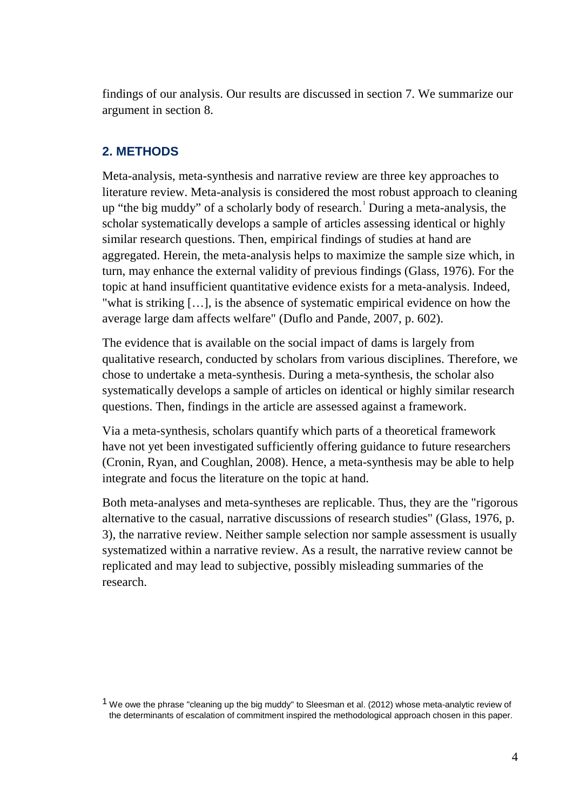findings of our analysis. Our results are discussed in section 7. We summarize our argument in section 8.

## **2. METHODS**

Meta-analysis, meta-synthesis and narrative review are three key approaches to literature review. Meta-analysis is considered the most robust approach to cleaning up "the big muddy" of a scholarly body of research. [1](#page-3-0) During a meta-analysis, the scholar systematically develops a sample of articles assessing identical or highly similar research questions. Then, empirical findings of studies at hand are aggregated. Herein, the meta-analysis helps to maximize the sample size which, in turn, may enhance the external validity of previous findings (Glass, 1976). For the topic at hand insufficient quantitative evidence exists for a meta-analysis. Indeed, "what is striking […], is the absence of systematic empirical evidence on how the average large dam affects welfare" (Duflo and Pande, 2007, p. 602).

The evidence that is available on the social impact of dams is largely from qualitative research, conducted by scholars from various disciplines. Therefore, we chose to undertake a meta-synthesis. During a meta-synthesis, the scholar also systematically develops a sample of articles on identical or highly similar research questions. Then, findings in the article are assessed against a framework.

Via a meta-synthesis, scholars quantify which parts of a theoretical framework have not yet been investigated sufficiently offering guidance to future researchers (Cronin, Ryan, and Coughlan, 2008). Hence, a meta-synthesis may be able to help integrate and focus the literature on the topic at hand.

Both meta-analyses and meta-syntheses are replicable. Thus, they are the "rigorous alternative to the casual, narrative discussions of research studies" (Glass, 1976, p. 3), the narrative review. Neither sample selection nor sample assessment is usually systematized within a narrative review. As a result, the narrative review cannot be replicated and may lead to subjective, possibly misleading summaries of the research.

<span id="page-3-0"></span><sup>1</sup> We owe the phrase "cleaning up the big muddy" to Sleesman et al. (2012) whose meta-analytic review of the determinants of escalation of commitment inspired the methodological approach chosen in this paper.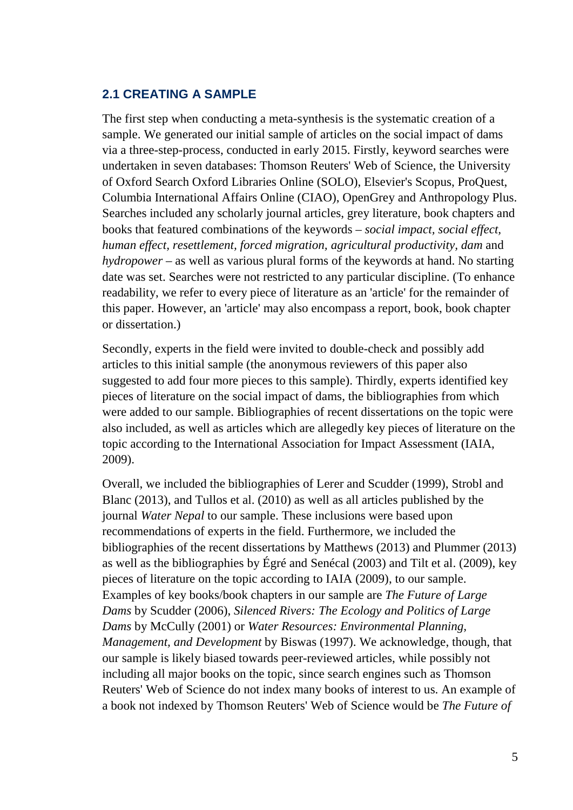## **2.1 CREATING A SAMPLE**

The first step when conducting a meta-synthesis is the systematic creation of a sample. We generated our initial sample of articles on the social impact of dams via a three-step-process, conducted in early 2015. Firstly, keyword searches were undertaken in seven databases: Thomson Reuters' Web of Science, the University of Oxford Search Oxford Libraries Online (SOLO), Elsevier's Scopus, ProQuest, Columbia International Affairs Online (CIAO), OpenGrey and Anthropology Plus. Searches included any scholarly journal articles, grey literature, book chapters and books that featured combinations of the keywords – *social impact, social effect, human effect, resettlement, forced migration, agricultural productivity, dam* and *hydropower –* as well as various plural forms of the keywords at hand. No starting date was set. Searches were not restricted to any particular discipline. (To enhance readability, we refer to every piece of literature as an 'article' for the remainder of this paper. However, an 'article' may also encompass a report, book, book chapter or dissertation.)

Secondly, experts in the field were invited to double-check and possibly add articles to this initial sample (the anonymous reviewers of this paper also suggested to add four more pieces to this sample). Thirdly, experts identified key pieces of literature on the social impact of dams, the bibliographies from which were added to our sample. Bibliographies of recent dissertations on the topic were also included, as well as articles which are allegedly key pieces of literature on the topic according to the International Association for Impact Assessment (IAIA, 2009).

Overall, we included the bibliographies of Lerer and Scudder (1999), Strobl and Blanc (2013), and Tullos et al. (2010) as well as all articles published by the journal *Water Nepal* to our sample. These inclusions were based upon recommendations of experts in the field. Furthermore, we included the bibliographies of the recent dissertations by Matthews (2013) and Plummer (2013) as well as the bibliographies by Égré and Senécal (2003) and Tilt et al. (2009), key pieces of literature on the topic according to IAIA (2009), to our sample. Examples of key books/book chapters in our sample are *The Future of Large Dams* by Scudder (2006), *Silenced Rivers: The Ecology and Politics of Large Dams* by McCully (2001) or *Water Resources: Environmental Planning, Management, and Development* by Biswas (1997). We acknowledge, though, that our sample is likely biased towards peer-reviewed articles, while possibly not including all major books on the topic, since search engines such as Thomson Reuters' Web of Science do not index many books of interest to us. An example of a book not indexed by Thomson Reuters' Web of Science would be *The Future of*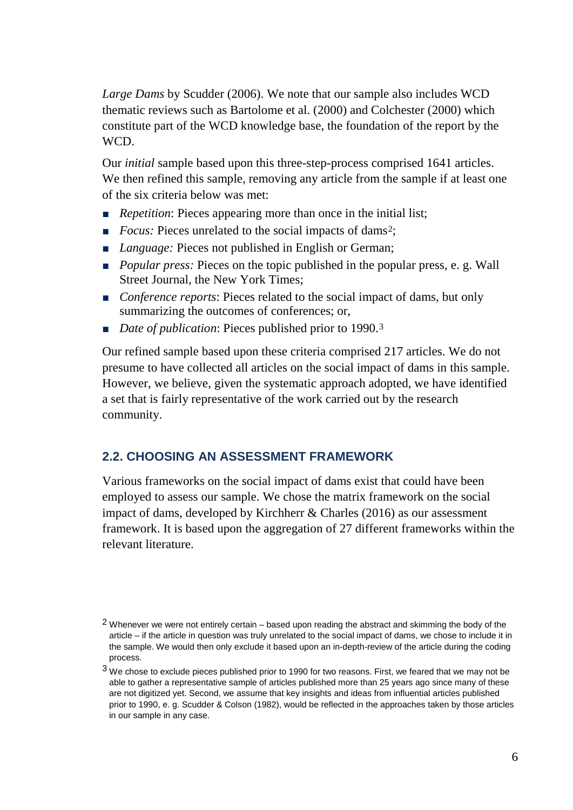*Large Dams* by Scudder (2006). We note that our sample also includes WCD thematic reviews such as Bartolome et al. (2000) and Colchester (2000) which constitute part of the WCD knowledge base, the foundation of the report by the WCD.

Our *initial* sample based upon this three-step-process comprised 1641 articles. We then refined this sample, removing any article from the sample if at least one of the six criteria below was met:

- *Repetition*: Pieces appearing more than once in the initial list;
- *Focus:* Pieces unrelated to the social impacts of dams<sup>[2](#page-5-0)</sup>;
- *Language:* Pieces not published in English or German;
- *Popular press:* Pieces on the topic published in the popular press, e. g. Wall Street Journal, the New York Times;
- *Conference reports*: Pieces related to the social impact of dams, but only summarizing the outcomes of conferences; or,
- *Date of publication*: Pieces published prior to 1990.<sup>[3](#page-5-1)</sup>

Our refined sample based upon these criteria comprised 217 articles. We do not presume to have collected all articles on the social impact of dams in this sample. However, we believe, given the systematic approach adopted, we have identified a set that is fairly representative of the work carried out by the research community.

#### **2.2. CHOOSING AN ASSESSMENT FRAMEWORK**

Various frameworks on the social impact of dams exist that could have been employed to assess our sample. We chose the matrix framework on the social impact of dams, developed by Kirchherr & Charles (2016) as our assessment framework. It is based upon the aggregation of 27 different frameworks within the relevant literature.

<span id="page-5-0"></span><sup>2</sup> Whenever we were not entirely certain – based upon reading the abstract and skimming the body of the article – if the article in question was truly unrelated to the social impact of dams, we chose to include it in the sample. We would then only exclude it based upon an in-depth-review of the article during the coding process.

<span id="page-5-1"></span><sup>&</sup>lt;sup>3</sup> We chose to exclude pieces published prior to 1990 for two reasons. First, we feared that we may not be able to gather a representative sample of articles published more than 25 years ago since many of these are not digitized yet. Second, we assume that key insights and ideas from influential articles published prior to 1990, e. g. Scudder & Colson (1982), would be reflected in the approaches taken by those articles in our sample in any case.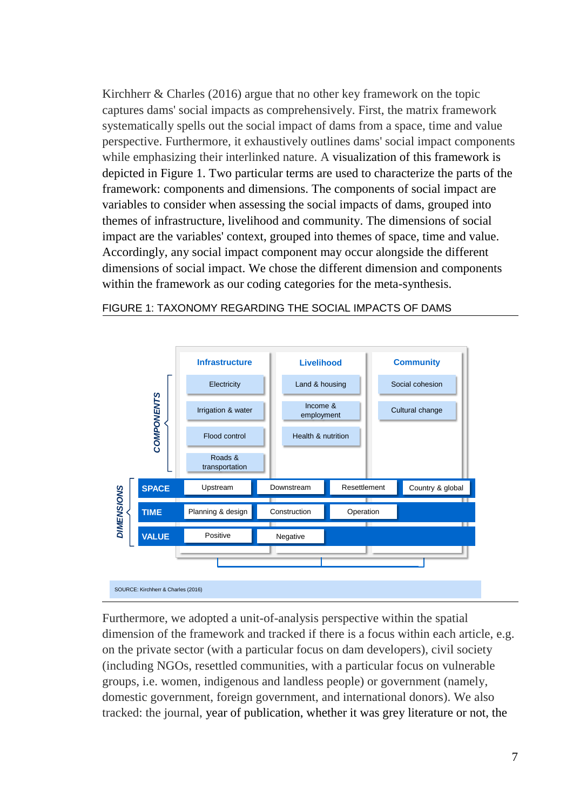Kirchherr & Charles (2016) argue that no other key framework on the topic captures dams' social impacts as comprehensively. First, the matrix framework systematically spells out the social impact of dams from a space, time and value perspective. Furthermore, it exhaustively outlines dams' social impact components while emphasizing their interlinked nature. A visualization of this framework is depicted in Figure 1. Two particular terms are used to characterize the parts of the framework: components and dimensions. The components of social impact are variables to consider when assessing the social impacts of dams, grouped into themes of infrastructure, livelihood and community. The dimensions of social impact are the variables' context, grouped into themes of space, time and value. Accordingly, any social impact component may occur alongside the different dimensions of social impact. We chose the different dimension and components within the framework as our coding categories for the meta-synthesis.



#### FIGURE 1: TAXONOMY REGARDING THE SOCIAL IMPACTS OF DAMS

Furthermore, we adopted a unit-of-analysis perspective within the spatial dimension of the framework and tracked if there is a focus within each article, e.g. on the private sector (with a particular focus on dam developers), civil society (including NGOs, resettled communities, with a particular focus on vulnerable groups, i.e. women, indigenous and landless people) or government (namely, domestic government, foreign government, and international donors). We also tracked: the journal, year of publication, whether it was grey literature or not, the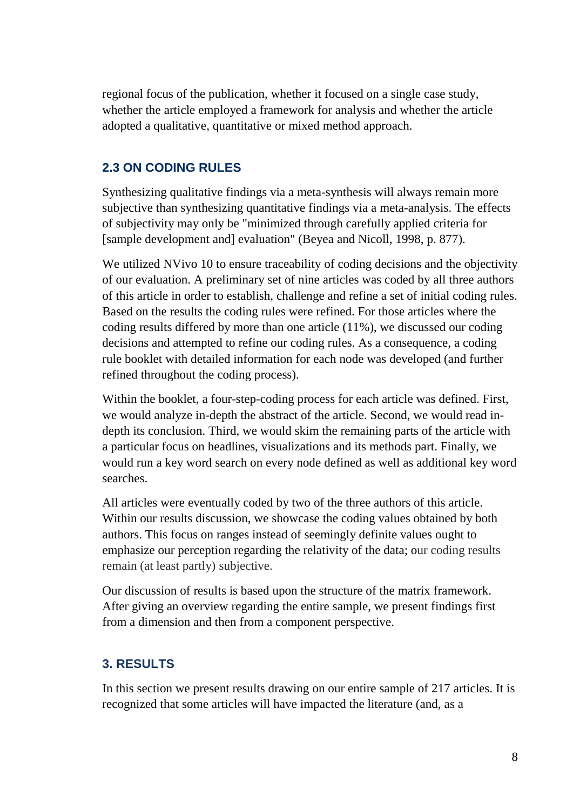regional focus of the publication, whether it focused on a single case study, whether the article employed a framework for analysis and whether the article adopted a qualitative, quantitative or mixed method approach.

## **2.3 ON CODING RULES**

Synthesizing qualitative findings via a meta-synthesis will always remain more subjective than synthesizing quantitative findings via a meta-analysis. The effects of subjectivity may only be "minimized through carefully applied criteria for [sample development and] evaluation" (Beyea and Nicoll, 1998, p. 877).

We utilized NVivo 10 to ensure traceability of coding decisions and the objectivity of our evaluation. A preliminary set of nine articles was coded by all three authors of this article in order to establish, challenge and refine a set of initial coding rules. Based on the results the coding rules were refined. For those articles where the coding results differed by more than one article (11%), we discussed our coding decisions and attempted to refine our coding rules. As a consequence, a coding rule booklet with detailed information for each node was developed (and further refined throughout the coding process).

Within the booklet, a four-step-coding process for each article was defined. First, we would analyze in-depth the abstract of the article. Second, we would read indepth its conclusion. Third, we would skim the remaining parts of the article with a particular focus on headlines, visualizations and its methods part. Finally, we would run a key word search on every node defined as well as additional key word searches.

All articles were eventually coded by two of the three authors of this article. Within our results discussion, we showcase the coding values obtained by both authors. This focus on ranges instead of seemingly definite values ought to emphasize our perception regarding the relativity of the data; our coding results remain (at least partly) subjective.

Our discussion of results is based upon the structure of the matrix framework. After giving an overview regarding the entire sample, we present findings first from a dimension and then from a component perspective.

## **3. RESULTS**

In this section we present results drawing on our entire sample of 217 articles. It is recognized that some articles will have impacted the literature (and, as a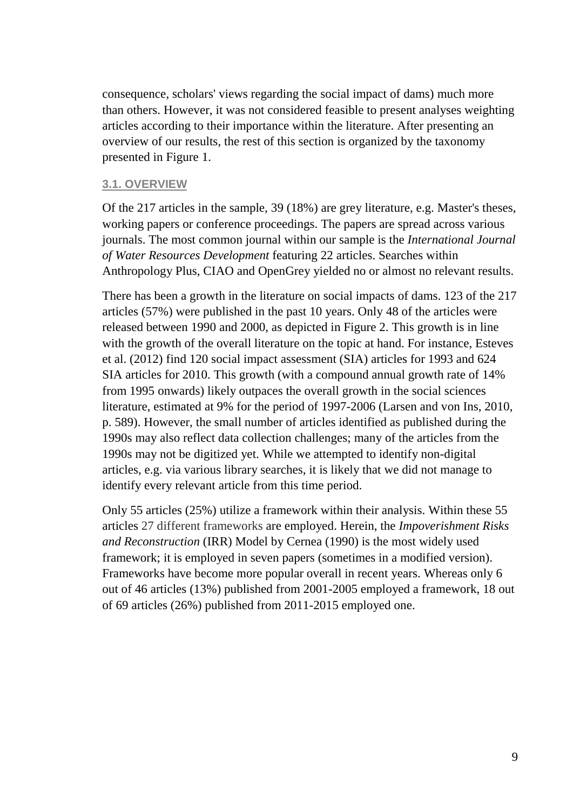consequence, scholars' views regarding the social impact of dams) much more than others. However, it was not considered feasible to present analyses weighting articles according to their importance within the literature. After presenting an overview of our results, the rest of this section is organized by the taxonomy presented in Figure 1.

#### **3.1. OVERVIEW**

Of the 217 articles in the sample, 39 (18%) are grey literature, e.g. Master's theses, working papers or conference proceedings. The papers are spread across various journals. The most common journal within our sample is the *International Journal of Water Resources Development* featuring 22 articles. Searches within Anthropology Plus, CIAO and OpenGrey yielded no or almost no relevant results.

There has been a growth in the literature on social impacts of dams. 123 of the 217 articles (57%) were published in the past 10 years. Only 48 of the articles were released between 1990 and 2000, as depicted in Figure 2. This growth is in line with the growth of the overall literature on the topic at hand. For instance, Esteves et al. (2012) find 120 social impact assessment (SIA) articles for 1993 and 624 SIA articles for 2010. This growth (with a compound annual growth rate of 14% from 1995 onwards) likely outpaces the overall growth in the social sciences literature, estimated at 9% for the period of 1997-2006 (Larsen and von Ins, 2010, p. 589). However, the small number of articles identified as published during the 1990s may also reflect data collection challenges; many of the articles from the 1990s may not be digitized yet. While we attempted to identify non-digital articles, e.g. via various library searches, it is likely that we did not manage to identify every relevant article from this time period.

Only 55 articles (25%) utilize a framework within their analysis. Within these 55 articles 27 different frameworks are employed. Herein, the *Impoverishment Risks and Reconstruction* (IRR) Model by Cernea (1990) is the most widely used framework; it is employed in seven papers (sometimes in a modified version). Frameworks have become more popular overall in recent years. Whereas only 6 out of 46 articles (13%) published from 2001-2005 employed a framework, 18 out of 69 articles (26%) published from 2011-2015 employed one.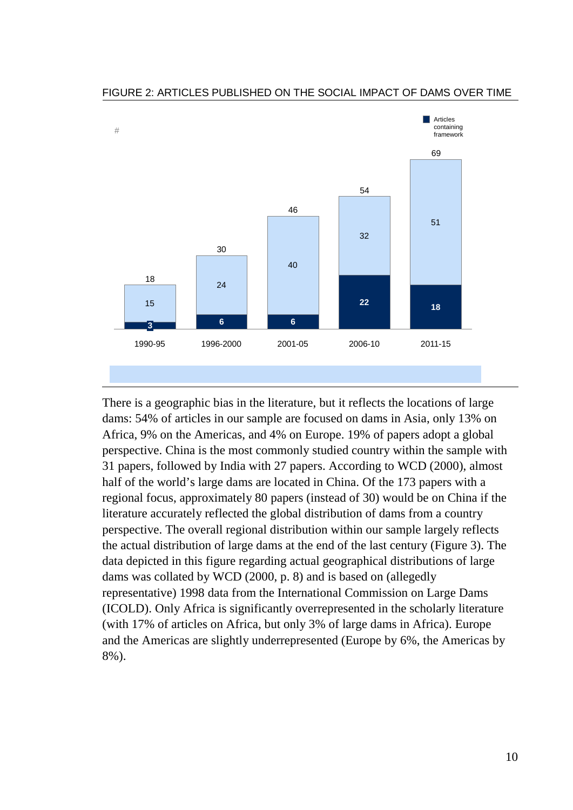

#### FIGURE 2: ARTICLES PUBLISHED ON THE SOCIAL IMPACT OF DAMS OVER TIME

There is a geographic bias in the literature, but it reflects the locations of large dams: 54% of articles in our sample are focused on dams in Asia, only 13% on Africa, 9% on the Americas, and 4% on Europe. 19% of papers adopt a global perspective. China is the most commonly studied country within the sample with 31 papers, followed by India with 27 papers. According to WCD (2000), almost half of the world's large dams are located in China. Of the 173 papers with a regional focus, approximately 80 papers (instead of 30) would be on China if the literature accurately reflected the global distribution of dams from a country perspective. The overall regional distribution within our sample largely reflects the actual distribution of large dams at the end of the last century (Figure 3). The data depicted in this figure regarding actual geographical distributions of large dams was collated by WCD (2000, p. 8) and is based on (allegedly representative) 1998 data from the International Commission on Large Dams (ICOLD). Only Africa is significantly overrepresented in the scholarly literature (with 17% of articles on Africa, but only 3% of large dams in Africa). Europe and the Americas are slightly underrepresented (Europe by 6%, the Americas by 8%).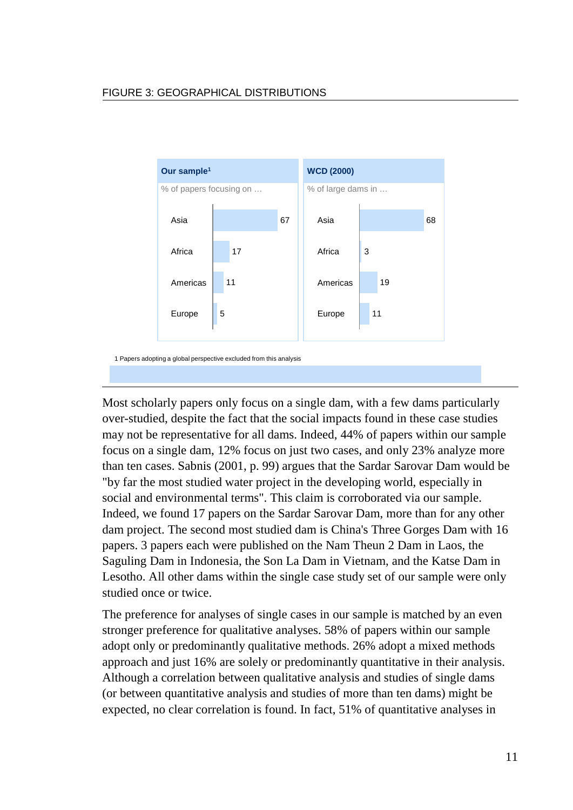

Most scholarly papers only focus on a single dam, with a few dams particularly over-studied, despite the fact that the social impacts found in these case studies may not be representative for all dams. Indeed, 44% of papers within our sample focus on a single dam, 12% focus on just two cases, and only 23% analyze more than ten cases. Sabnis (2001, p. 99) argues that the Sardar Sarovar Dam would be "by far the most studied water project in the developing world, especially in social and environmental terms". This claim is corroborated via our sample. Indeed, we found 17 papers on the Sardar Sarovar Dam, more than for any other dam project. The second most studied dam is China's Three Gorges Dam with 16 papers. 3 papers each were published on the Nam Theun 2 Dam in Laos, the Saguling Dam in Indonesia, the Son La Dam in Vietnam, and the Katse Dam in Lesotho. All other dams within the single case study set of our sample were only studied once or twice.

The preference for analyses of single cases in our sample is matched by an even stronger preference for qualitative analyses. 58% of papers within our sample adopt only or predominantly qualitative methods. 26% adopt a mixed methods approach and just 16% are solely or predominantly quantitative in their analysis. Although a correlation between qualitative analysis and studies of single dams (or between quantitative analysis and studies of more than ten dams) might be expected, no clear correlation is found. In fact, 51% of quantitative analyses in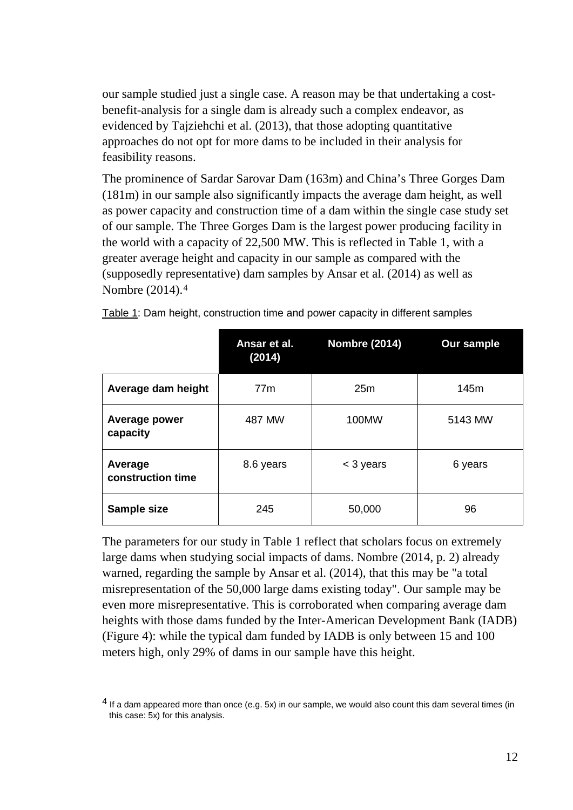our sample studied just a single case. A reason may be that undertaking a costbenefit-analysis for a single dam is already such a complex endeavor, as evidenced by Tajziehchi et al. (2013), that those adopting quantitative approaches do not opt for more dams to be included in their analysis for feasibility reasons.

The prominence of Sardar Sarovar Dam (163m) and China's Three Gorges Dam (181m) in our sample also significantly impacts the average dam height, as well as power capacity and construction time of a dam within the single case study set of our sample. The Three Gorges Dam is the largest power producing facility in the world with a capacity of 22,500 MW. This is reflected in Table 1, with a greater average height and capacity in our sample as compared with the (supposedly representative) dam samples by Ansar et al. (2014) as well as Nombre (2014).[4](#page-11-0)

|                              | Ansar et al.<br>(2014) | <b>Nombre (2014)</b> | <b>Our sample</b> |
|------------------------------|------------------------|----------------------|-------------------|
| Average dam height           | 77m                    | 25m                  | 145m              |
| Average power<br>capacity    | 487 MW                 | 100MW                | 5143 MW           |
| Average<br>construction time | 8.6 years              | $<$ 3 years          | 6 years           |
| Sample size                  | 245                    | 50,000               | 96                |

Table 1: Dam height, construction time and power capacity in different samples

The parameters for our study in Table 1 reflect that scholars focus on extremely large dams when studying social impacts of dams. Nombre (2014, p. 2) already warned, regarding the sample by Ansar et al. (2014), that this may be "a total misrepresentation of the 50,000 large dams existing today". Our sample may be even more misrepresentative. This is corroborated when comparing average dam heights with those dams funded by the Inter-American Development Bank (IADB) (Figure 4): while the typical dam funded by IADB is only between 15 and 100 meters high, only 29% of dams in our sample have this height.

<span id="page-11-0"></span> $4$  If a dam appeared more than once (e.g. 5x) in our sample, we would also count this dam several times (in this case: 5x) for this analysis.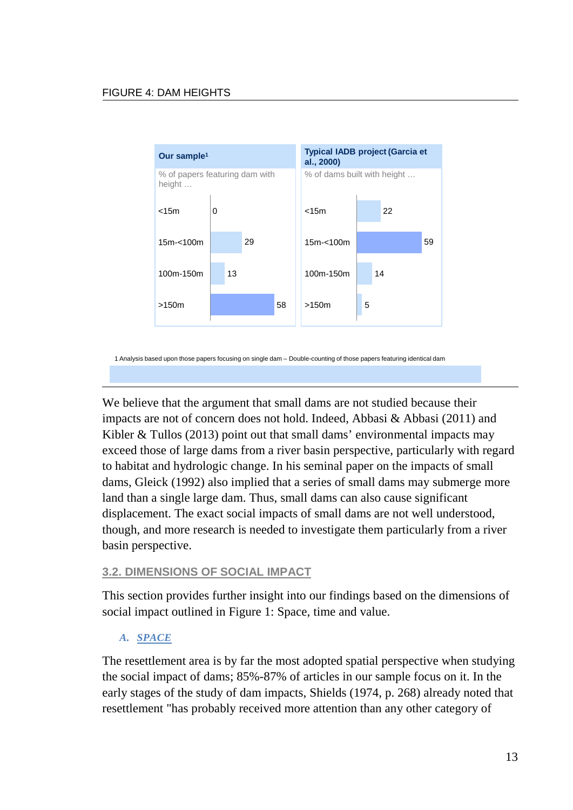

1 Analysis based upon those papers focusing on single dam – Double-counting of those papers featuring identical dam

We believe that the argument that small dams are not studied because their impacts are not of concern does not hold. Indeed, Abbasi & Abbasi (2011) and Kibler & Tullos (2013) point out that small dams' environmental impacts may exceed those of large dams from a river basin perspective, particularly with regard to habitat and hydrologic change. In his seminal paper on the impacts of small dams, Gleick (1992) also implied that a series of small dams may submerge more land than a single large dam. Thus, small dams can also cause significant displacement. The exact social impacts of small dams are not well understood, though, and more research is needed to investigate them particularly from a river basin perspective.

#### **3.2. DIMENSIONS OF SOCIAL IMPACT**

This section provides further insight into our findings based on the dimensions of social impact outlined in Figure 1: Space, time and value.

#### *A. SPACE*

The resettlement area is by far the most adopted spatial perspective when studying the social impact of dams; 85%-87% of articles in our sample focus on it. In the early stages of the study of dam impacts, Shields (1974, p. 268) already noted that resettlement "has probably received more attention than any other category of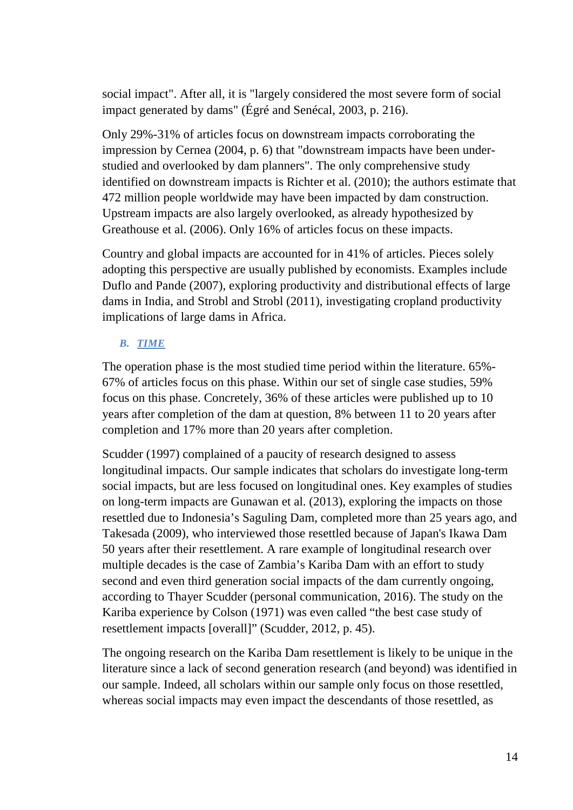social impact". After all, it is "largely considered the most severe form of social impact generated by dams" (Égré and Senécal, 2003, p. 216).

Only 29%-31% of articles focus on downstream impacts corroborating the impression by Cernea (2004, p. 6) that "downstream impacts have been understudied and overlooked by dam planners". The only comprehensive study identified on downstream impacts is Richter et al. (2010); the authors estimate that 472 million people worldwide may have been impacted by dam construction. Upstream impacts are also largely overlooked, as already hypothesized by Greathouse et al. (2006). Only 16% of articles focus on these impacts.

Country and global impacts are accounted for in 41% of articles. Pieces solely adopting this perspective are usually published by economists. Examples include Duflo and Pande (2007), exploring productivity and distributional effects of large dams in India, and Strobl and Strobl (2011), investigating cropland productivity implications of large dams in Africa.

### *B. TIME*

The operation phase is the most studied time period within the literature. 65%- 67% of articles focus on this phase. Within our set of single case studies, 59% focus on this phase. Concretely, 36% of these articles were published up to 10 years after completion of the dam at question, 8% between 11 to 20 years after completion and 17% more than 20 years after completion.

Scudder (1997) complained of a paucity of research designed to assess longitudinal impacts. Our sample indicates that scholars do investigate long-term social impacts, but are less focused on longitudinal ones. Key examples of studies on long-term impacts are Gunawan et al. (2013), exploring the impacts on those resettled due to Indonesia's Saguling Dam, completed more than 25 years ago, and Takesada (2009), who interviewed those resettled because of Japan's Ikawa Dam 50 years after their resettlement. A rare example of longitudinal research over multiple decades is the case of Zambia's Kariba Dam with an effort to study second and even third generation social impacts of the dam currently ongoing, according to Thayer Scudder (personal communication, 2016). The study on the Kariba experience by Colson (1971) was even called "the best case study of resettlement impacts [overall]" (Scudder, 2012, p. 45).

The ongoing research on the Kariba Dam resettlement is likely to be unique in the literature since a lack of second generation research (and beyond) was identified in our sample. Indeed, all scholars within our sample only focus on those resettled, whereas social impacts may even impact the descendants of those resettled, as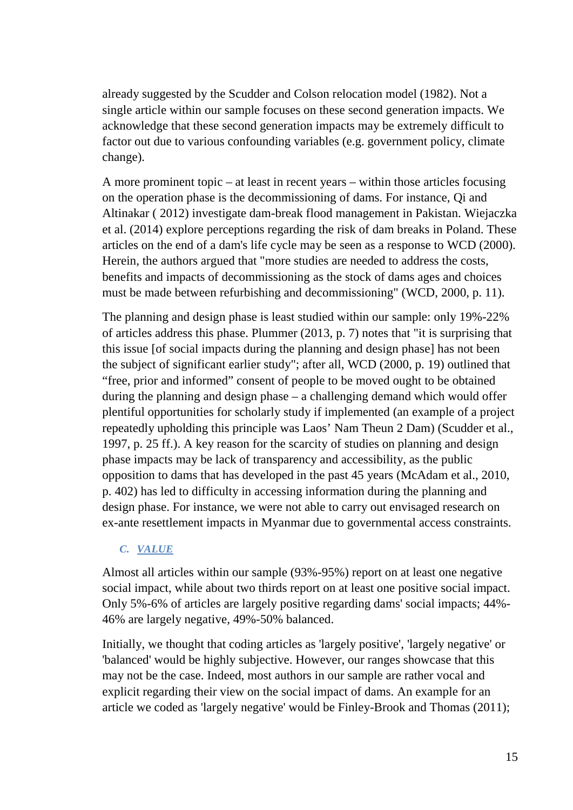already suggested by the Scudder and Colson relocation model (1982). Not a single article within our sample focuses on these second generation impacts. We acknowledge that these second generation impacts may be extremely difficult to factor out due to various confounding variables (e.g. government policy, climate change).

A more prominent topic – at least in recent years – within those articles focusing on the operation phase is the decommissioning of dams. For instance, Qi and Altinakar ( 2012) investigate dam-break flood management in Pakistan. Wiejaczka et al. (2014) explore perceptions regarding the risk of dam breaks in Poland. These articles on the end of a dam's life cycle may be seen as a response to WCD (2000). Herein, the authors argued that "more studies are needed to address the costs, benefits and impacts of decommissioning as the stock of dams ages and choices must be made between refurbishing and decommissioning" (WCD, 2000, p. 11).

The planning and design phase is least studied within our sample: only 19%-22% of articles address this phase. Plummer (2013, p. 7) notes that "it is surprising that this issue [of social impacts during the planning and design phase] has not been the subject of significant earlier study"; after all, WCD (2000, p. 19) outlined that "free, prior and informed" consent of people to be moved ought to be obtained during the planning and design phase – a challenging demand which would offer plentiful opportunities for scholarly study if implemented (an example of a project repeatedly upholding this principle was Laos' Nam Theun 2 Dam) (Scudder et al., 1997, p. 25 ff.). A key reason for the scarcity of studies on planning and design phase impacts may be lack of transparency and accessibility, as the public opposition to dams that has developed in the past 45 years (McAdam et al., 2010, p. 402) has led to difficulty in accessing information during the planning and design phase. For instance, we were not able to carry out envisaged research on ex-ante resettlement impacts in Myanmar due to governmental access constraints.

#### *C. VALUE*

Almost all articles within our sample (93%-95%) report on at least one negative social impact, while about two thirds report on at least one positive social impact. Only 5%-6% of articles are largely positive regarding dams' social impacts; 44%- 46% are largely negative, 49%-50% balanced.

Initially, we thought that coding articles as 'largely positive', 'largely negative' or 'balanced' would be highly subjective. However, our ranges showcase that this may not be the case. Indeed, most authors in our sample are rather vocal and explicit regarding their view on the social impact of dams. An example for an article we coded as 'largely negative' would be Finley-Brook and Thomas (2011);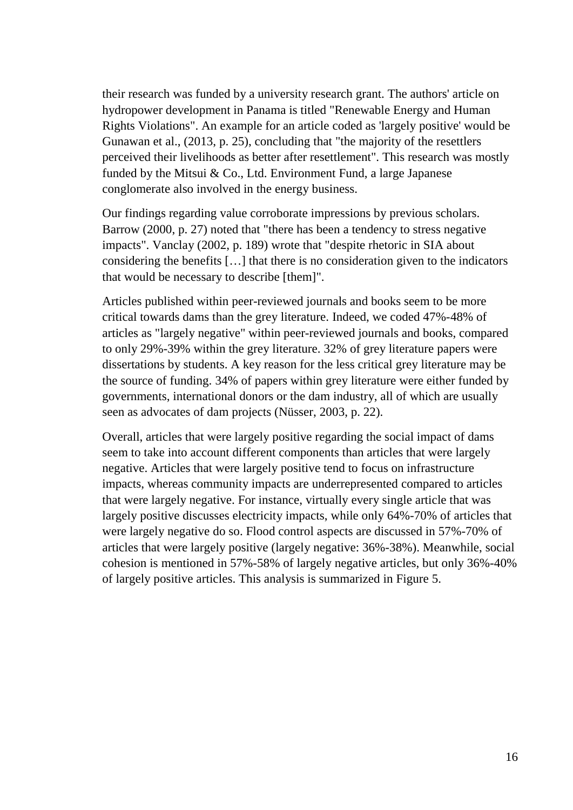their research was funded by a university research grant. The authors' article on hydropower development in Panama is titled "Renewable Energy and Human Rights Violations". An example for an article coded as 'largely positive' would be Gunawan et al., (2013, p. 25), concluding that "the majority of the resettlers perceived their livelihoods as better after resettlement". This research was mostly funded by the Mitsui & Co., Ltd. Environment Fund, a large Japanese conglomerate also involved in the energy business.

Our findings regarding value corroborate impressions by previous scholars. Barrow (2000, p. 27) noted that "there has been a tendency to stress negative impacts". Vanclay (2002, p. 189) wrote that "despite rhetoric in SIA about considering the benefits […] that there is no consideration given to the indicators that would be necessary to describe [them]".

Articles published within peer-reviewed journals and books seem to be more critical towards dams than the grey literature. Indeed, we coded 47%-48% of articles as "largely negative" within peer-reviewed journals and books, compared to only 29%-39% within the grey literature. 32% of grey literature papers were dissertations by students. A key reason for the less critical grey literature may be the source of funding. 34% of papers within grey literature were either funded by governments, international donors or the dam industry, all of which are usually seen as advocates of dam projects (Nüsser, 2003, p. 22).

Overall, articles that were largely positive regarding the social impact of dams seem to take into account different components than articles that were largely negative. Articles that were largely positive tend to focus on infrastructure impacts, whereas community impacts are underrepresented compared to articles that were largely negative. For instance, virtually every single article that was largely positive discusses electricity impacts, while only 64%-70% of articles that were largely negative do so. Flood control aspects are discussed in 57%-70% of articles that were largely positive (largely negative: 36%-38%). Meanwhile, social cohesion is mentioned in 57%-58% of largely negative articles, but only 36%-40% of largely positive articles. This analysis is summarized in Figure 5.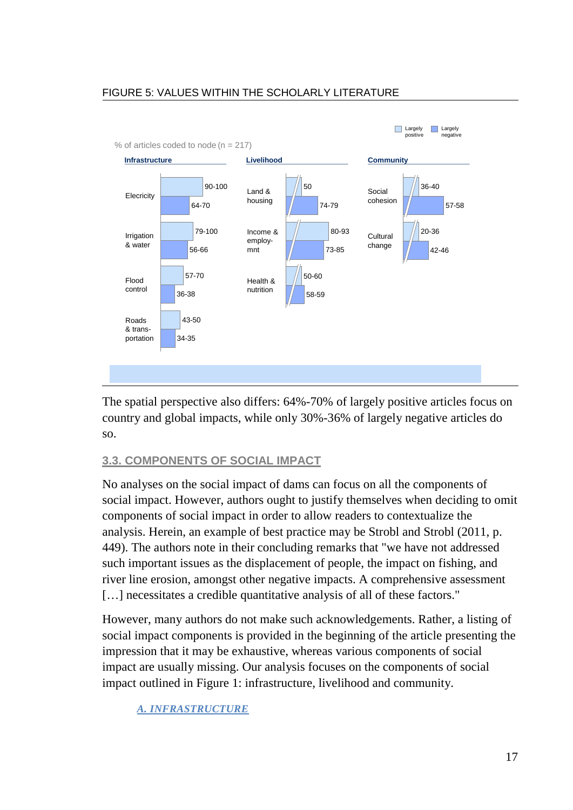### FIGURE 5: VALUES WITHIN THE SCHOLARLY LITERATURE



The spatial perspective also differs: 64%-70% of largely positive articles focus on country and global impacts, while only 30%-36% of largely negative articles do so.

## **3.3. COMPONENTS OF SOCIAL IMPACT**

No analyses on the social impact of dams can focus on all the components of social impact. However, authors ought to justify themselves when deciding to omit components of social impact in order to allow readers to contextualize the analysis. Herein, an example of best practice may be Strobl and Strobl (2011, p. 449). The authors note in their concluding remarks that "we have not addressed such important issues as the displacement of people, the impact on fishing, and river line erosion, amongst other negative impacts. A comprehensive assessment [...] necessitates a credible quantitative analysis of all of these factors."

However, many authors do not make such acknowledgements. Rather, a listing of social impact components is provided in the beginning of the article presenting the impression that it may be exhaustive, whereas various components of social impact are usually missing. Our analysis focuses on the components of social impact outlined in Figure 1: infrastructure, livelihood and community.

*A. INFRASTRUCTURE*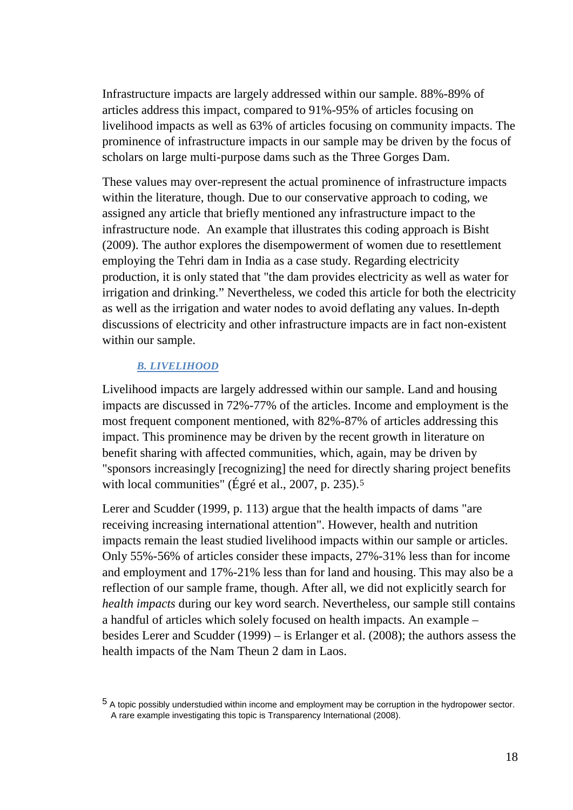Infrastructure impacts are largely addressed within our sample. 88%-89% of articles address this impact, compared to 91%-95% of articles focusing on livelihood impacts as well as 63% of articles focusing on community impacts. The prominence of infrastructure impacts in our sample may be driven by the focus of scholars on large multi-purpose dams such as the Three Gorges Dam.

These values may over-represent the actual prominence of infrastructure impacts within the literature, though. Due to our conservative approach to coding, we assigned any article that briefly mentioned any infrastructure impact to the infrastructure node. An example that illustrates this coding approach is Bisht (2009). The author explores the disempowerment of women due to resettlement employing the Tehri dam in India as a case study. Regarding electricity production, it is only stated that "the dam provides electricity as well as water for irrigation and drinking." Nevertheless, we coded this article for both the electricity as well as the irrigation and water nodes to avoid deflating any values. In-depth discussions of electricity and other infrastructure impacts are in fact non-existent within our sample.

#### *B. LIVELIHOOD*

Livelihood impacts are largely addressed within our sample. Land and housing impacts are discussed in 72%-77% of the articles. Income and employment is the most frequent component mentioned, with 82%-87% of articles addressing this impact. This prominence may be driven by the recent growth in literature on benefit sharing with affected communities, which, again, may be driven by "sponsors increasingly [recognizing] the need for directly sharing project benefits with local communities" (Égré et al., 2007, p. 23[5](#page-17-0)).<sup>5</sup>

Lerer and Scudder (1999, p. 113) argue that the health impacts of dams "are receiving increasing international attention". However, health and nutrition impacts remain the least studied livelihood impacts within our sample or articles. Only 55%-56% of articles consider these impacts, 27%-31% less than for income and employment and 17%-21% less than for land and housing. This may also be a reflection of our sample frame, though. After all, we did not explicitly search for *health impacts* during our key word search. Nevertheless, our sample still contains a handful of articles which solely focused on health impacts. An example – besides Lerer and Scudder (1999) – is Erlanger et al. (2008); the authors assess the health impacts of the Nam Theun 2 dam in Laos.

<span id="page-17-0"></span><sup>5</sup> A topic possibly understudied within income and employment may be corruption in the hydropower sector. A rare example investigating this topic is Transparency International (2008).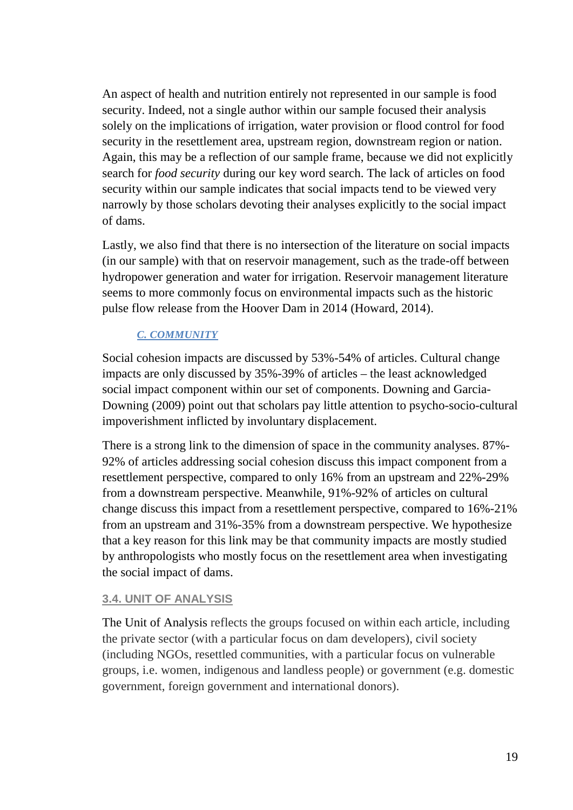An aspect of health and nutrition entirely not represented in our sample is food security. Indeed, not a single author within our sample focused their analysis solely on the implications of irrigation, water provision or flood control for food security in the resettlement area, upstream region, downstream region or nation. Again, this may be a reflection of our sample frame, because we did not explicitly search for *food security* during our key word search. The lack of articles on food security within our sample indicates that social impacts tend to be viewed very narrowly by those scholars devoting their analyses explicitly to the social impact of dams.

Lastly, we also find that there is no intersection of the literature on social impacts (in our sample) with that on reservoir management, such as the trade-off between hydropower generation and water for irrigation. Reservoir management literature seems to more commonly focus on environmental impacts such as the historic pulse flow release from the Hoover Dam in 2014 (Howard, 2014).

## *C. COMMUNITY*

Social cohesion impacts are discussed by 53%-54% of articles. Cultural change impacts are only discussed by 35%-39% of articles – the least acknowledged social impact component within our set of components. Downing and Garcia-Downing (2009) point out that scholars pay little attention to psycho-socio-cultural impoverishment inflicted by involuntary displacement.

There is a strong link to the dimension of space in the community analyses. 87%- 92% of articles addressing social cohesion discuss this impact component from a resettlement perspective, compared to only 16% from an upstream and 22%-29% from a downstream perspective. Meanwhile, 91%-92% of articles on cultural change discuss this impact from a resettlement perspective, compared to 16%-21% from an upstream and 31%-35% from a downstream perspective. We hypothesize that a key reason for this link may be that community impacts are mostly studied by anthropologists who mostly focus on the resettlement area when investigating the social impact of dams.

#### **3.4. UNIT OF ANALYSIS**

The Unit of Analysis reflects the groups focused on within each article, including the private sector (with a particular focus on dam developers), civil society (including NGOs, resettled communities, with a particular focus on vulnerable groups, i.e. women, indigenous and landless people) or government (e.g. domestic government, foreign government and international donors).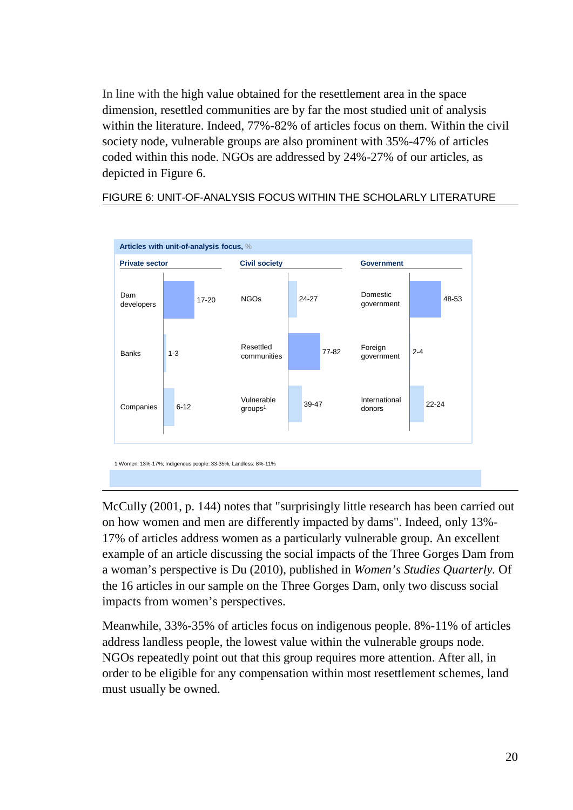In line with the high value obtained for the resettlement area in the space dimension, resettled communities are by far the most studied unit of analysis within the literature. Indeed, 77%-82% of articles focus on them. Within the civil society node, vulnerable groups are also prominent with 35%-47% of articles coded within this node. NGOs are addressed by 24%-27% of our articles, as depicted in Figure 6.

### FIGURE 6: UNIT-OF-ANALYSIS FOCUS WITHIN THE SCHOLARLY LITERATURE



McCully (2001, p. 144) notes that "surprisingly little research has been carried out on how women and men are differently impacted by dams". Indeed, only 13%- 17% of articles address women as a particularly vulnerable group. An excellent example of an article discussing the social impacts of the Three Gorges Dam from a woman's perspective is Du (2010), published in *Women's Studies Quarterly.* Of the 16 articles in our sample on the Three Gorges Dam, only two discuss social impacts from women's perspectives.

Meanwhile, 33%-35% of articles focus on indigenous people. 8%-11% of articles address landless people, the lowest value within the vulnerable groups node. NGOs repeatedly point out that this group requires more attention. After all, in order to be eligible for any compensation within most resettlement schemes, land must usually be owned.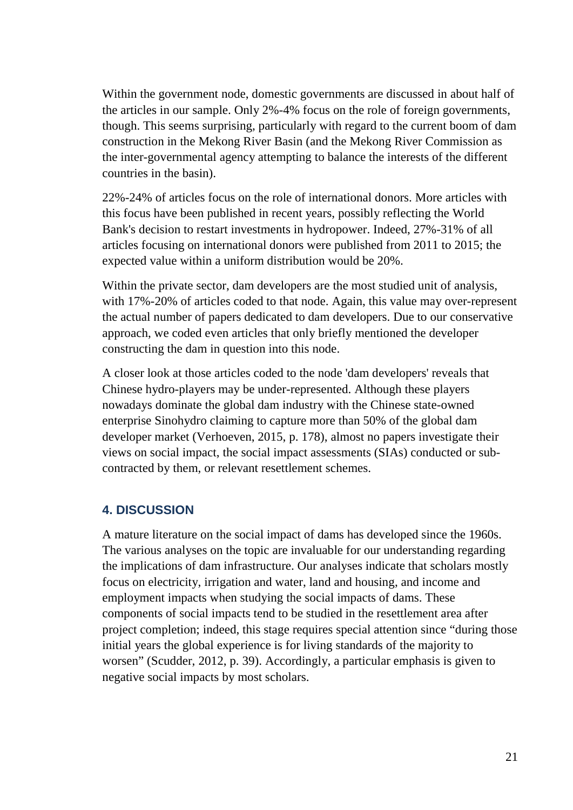Within the government node, domestic governments are discussed in about half of the articles in our sample. Only 2%-4% focus on the role of foreign governments, though. This seems surprising, particularly with regard to the current boom of dam construction in the Mekong River Basin (and the Mekong River Commission as the inter-governmental agency attempting to balance the interests of the different countries in the basin).

22%-24% of articles focus on the role of international donors. More articles with this focus have been published in recent years, possibly reflecting the World Bank's decision to restart investments in hydropower. Indeed, 27%-31% of all articles focusing on international donors were published from 2011 to 2015; the expected value within a uniform distribution would be 20%.

Within the private sector, dam developers are the most studied unit of analysis, with 17%-20% of articles coded to that node. Again, this value may over-represent the actual number of papers dedicated to dam developers. Due to our conservative approach, we coded even articles that only briefly mentioned the developer constructing the dam in question into this node.

A closer look at those articles coded to the node 'dam developers' reveals that Chinese hydro-players may be under-represented. Although these players nowadays dominate the global dam industry with the Chinese state-owned enterprise Sinohydro claiming to capture more than 50% of the global dam developer market (Verhoeven, 2015, p. 178), almost no papers investigate their views on social impact, the social impact assessments (SIAs) conducted or subcontracted by them, or relevant resettlement schemes.

## **4. DISCUSSION**

A mature literature on the social impact of dams has developed since the 1960s. The various analyses on the topic are invaluable for our understanding regarding the implications of dam infrastructure. Our analyses indicate that scholars mostly focus on electricity, irrigation and water, land and housing, and income and employment impacts when studying the social impacts of dams. These components of social impacts tend to be studied in the resettlement area after project completion; indeed, this stage requires special attention since "during those initial years the global experience is for living standards of the majority to worsen" (Scudder, 2012, p. 39). Accordingly, a particular emphasis is given to negative social impacts by most scholars.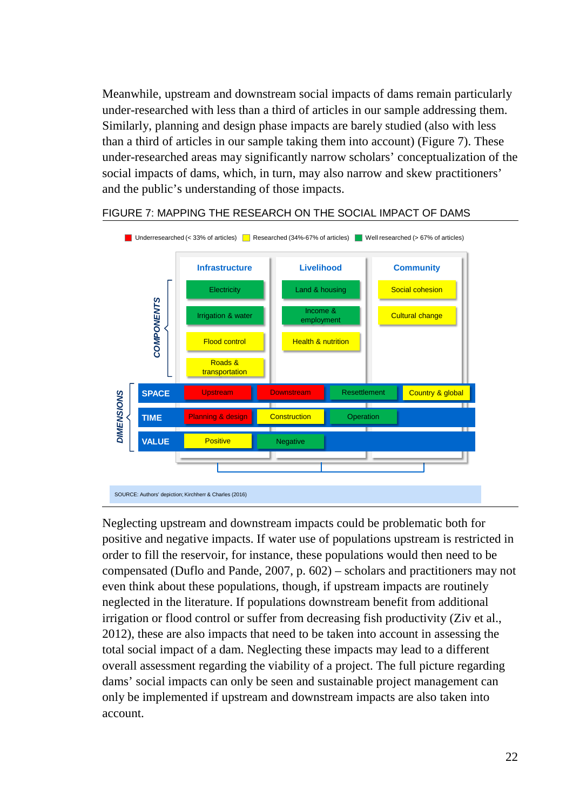Meanwhile, upstream and downstream social impacts of dams remain particularly under-researched with less than a third of articles in our sample addressing them. Similarly, planning and design phase impacts are barely studied (also with less than a third of articles in our sample taking them into account) (Figure 7). These under-researched areas may significantly narrow scholars' conceptualization of the social impacts of dams, which, in turn, may also narrow and skew practitioners' and the public's understanding of those impacts.



#### FIGURE 7: MAPPING THE RESEARCH ON THE SOCIAL IMPACT OF DAMS

Neglecting upstream and downstream impacts could be problematic both for positive and negative impacts. If water use of populations upstream is restricted in order to fill the reservoir, for instance, these populations would then need to be compensated (Duflo and Pande, 2007, p. 602) – scholars and practitioners may not even think about these populations, though, if upstream impacts are routinely neglected in the literature. If populations downstream benefit from additional irrigation or flood control or suffer from decreasing fish productivity (Ziv et al., 2012), these are also impacts that need to be taken into account in assessing the total social impact of a dam. Neglecting these impacts may lead to a different overall assessment regarding the viability of a project. The full picture regarding dams' social impacts can only be seen and sustainable project management can only be implemented if upstream and downstream impacts are also taken into account.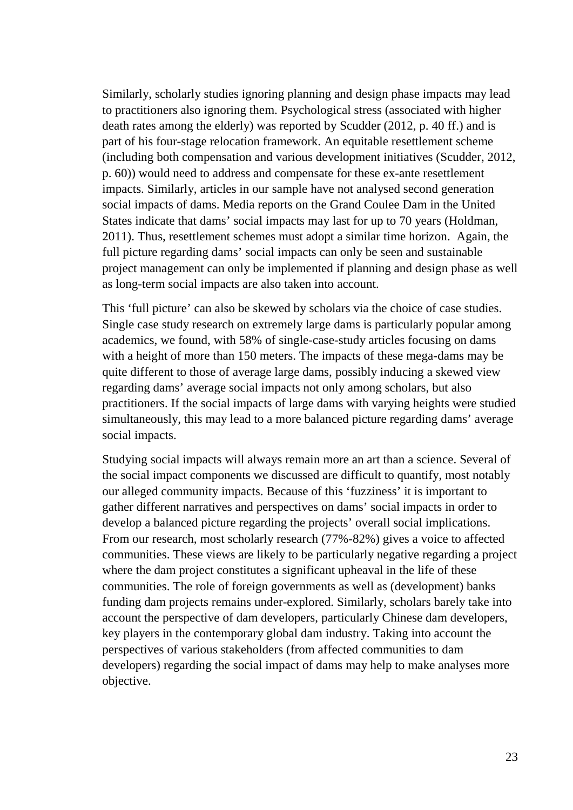Similarly, scholarly studies ignoring planning and design phase impacts may lead to practitioners also ignoring them. Psychological stress (associated with higher death rates among the elderly) was reported by Scudder (2012, p. 40 ff.) and is part of his four-stage relocation framework. An equitable resettlement scheme (including both compensation and various development initiatives (Scudder, 2012, p. 60)) would need to address and compensate for these ex-ante resettlement impacts. Similarly, articles in our sample have not analysed second generation social impacts of dams. Media reports on the Grand Coulee Dam in the United States indicate that dams' social impacts may last for up to 70 years (Holdman, 2011). Thus, resettlement schemes must adopt a similar time horizon. Again, the full picture regarding dams' social impacts can only be seen and sustainable project management can only be implemented if planning and design phase as well as long-term social impacts are also taken into account.

This 'full picture' can also be skewed by scholars via the choice of case studies. Single case study research on extremely large dams is particularly popular among academics, we found, with 58% of single-case-study articles focusing on dams with a height of more than 150 meters. The impacts of these mega-dams may be quite different to those of average large dams, possibly inducing a skewed view regarding dams' average social impacts not only among scholars, but also practitioners. If the social impacts of large dams with varying heights were studied simultaneously, this may lead to a more balanced picture regarding dams' average social impacts.

Studying social impacts will always remain more an art than a science. Several of the social impact components we discussed are difficult to quantify, most notably our alleged community impacts. Because of this 'fuzziness' it is important to gather different narratives and perspectives on dams' social impacts in order to develop a balanced picture regarding the projects' overall social implications. From our research, most scholarly research (77%-82%) gives a voice to affected communities. These views are likely to be particularly negative regarding a project where the dam project constitutes a significant upheaval in the life of these communities. The role of foreign governments as well as (development) banks funding dam projects remains under-explored. Similarly, scholars barely take into account the perspective of dam developers, particularly Chinese dam developers, key players in the contemporary global dam industry. Taking into account the perspectives of various stakeholders (from affected communities to dam developers) regarding the social impact of dams may help to make analyses more objective.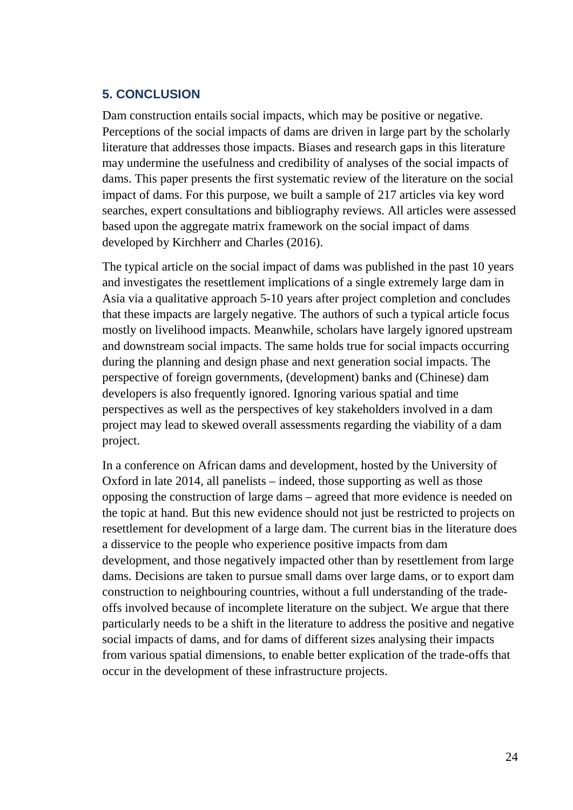### **5. CONCLUSION**

Dam construction entails social impacts, which may be positive or negative. Perceptions of the social impacts of dams are driven in large part by the scholarly literature that addresses those impacts. Biases and research gaps in this literature may undermine the usefulness and credibility of analyses of the social impacts of dams. This paper presents the first systematic review of the literature on the social impact of dams. For this purpose, we built a sample of 217 articles via key word searches, expert consultations and bibliography reviews. All articles were assessed based upon the aggregate matrix framework on the social impact of dams developed by Kirchherr and Charles (2016).

The typical article on the social impact of dams was published in the past 10 years and investigates the resettlement implications of a single extremely large dam in Asia via a qualitative approach 5-10 years after project completion and concludes that these impacts are largely negative. The authors of such a typical article focus mostly on livelihood impacts. Meanwhile, scholars have largely ignored upstream and downstream social impacts. The same holds true for social impacts occurring during the planning and design phase and next generation social impacts. The perspective of foreign governments, (development) banks and (Chinese) dam developers is also frequently ignored. Ignoring various spatial and time perspectives as well as the perspectives of key stakeholders involved in a dam project may lead to skewed overall assessments regarding the viability of a dam project.

In a conference on African dams and development, hosted by the University of Oxford in late 2014, all panelists – indeed, those supporting as well as those opposing the construction of large dams – agreed that more evidence is needed on the topic at hand. But this new evidence should not just be restricted to projects on resettlement for development of a large dam. The current bias in the literature does a disservice to the people who experience positive impacts from dam development, and those negatively impacted other than by resettlement from large dams. Decisions are taken to pursue small dams over large dams, or to export dam construction to neighbouring countries, without a full understanding of the tradeoffs involved because of incomplete literature on the subject. We argue that there particularly needs to be a shift in the literature to address the positive and negative social impacts of dams, and for dams of different sizes analysing their impacts from various spatial dimensions, to enable better explication of the trade-offs that occur in the development of these infrastructure projects.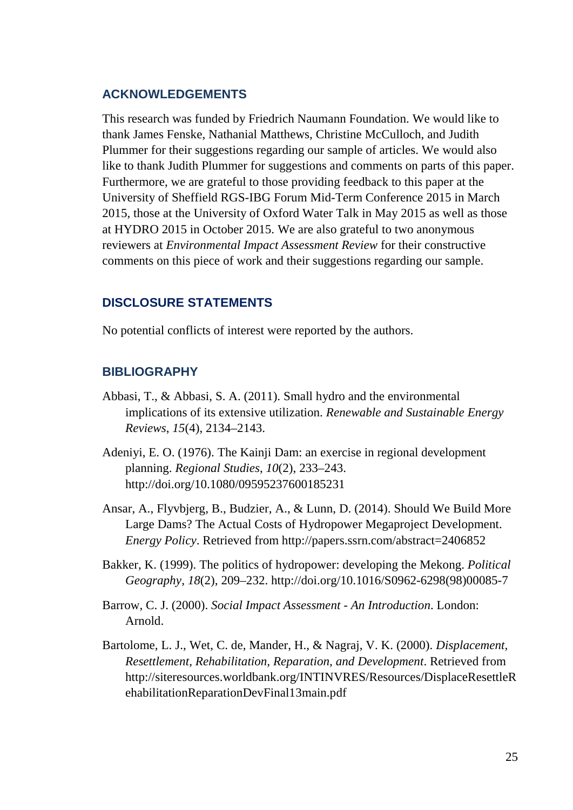#### **ACKNOWLEDGEMENTS**

This research was funded by Friedrich Naumann Foundation. We would like to thank James Fenske, Nathanial Matthews, Christine McCulloch, and Judith Plummer for their suggestions regarding our sample of articles. We would also like to thank Judith Plummer for suggestions and comments on parts of this paper. Furthermore, we are grateful to those providing feedback to this paper at the University of Sheffield RGS-IBG Forum Mid-Term Conference 2015 in March 2015, those at the University of Oxford Water Talk in May 2015 as well as those at HYDRO 2015 in October 2015. We are also grateful to two anonymous reviewers at *Environmental Impact Assessment Review* for their constructive comments on this piece of work and their suggestions regarding our sample.

#### **DISCLOSURE STATEMENTS**

No potential conflicts of interest were reported by the authors.

#### **BIBLIOGRAPHY**

- Abbasi, T., & Abbasi, S. A. (2011). Small hydro and the environmental implications of its extensive utilization. *Renewable and Sustainable Energy Reviews*, *15*(4), 2134–2143.
- Adeniyi, E. O. (1976). The Kainji Dam: an exercise in regional development planning. *Regional Studies*, *10*(2), 233–243. http://doi.org/10.1080/09595237600185231
- Ansar, A., Flyvbjerg, B., Budzier, A., & Lunn, D. (2014). Should We Build More Large Dams? The Actual Costs of Hydropower Megaproject Development. *Energy Policy*. Retrieved from http://papers.ssrn.com/abstract=2406852
- Bakker, K. (1999). The politics of hydropower: developing the Mekong. *Political Geography*, *18*(2), 209–232. http://doi.org/10.1016/S0962-6298(98)00085-7
- Barrow, C. J. (2000). *Social Impact Assessment - An Introduction*. London: Arnold.
- Bartolome, L. J., Wet, C. de, Mander, H., & Nagraj, V. K. (2000). *Displacement, Resettlement, Rehabilitation, Reparation, and Development*. Retrieved from http://siteresources.worldbank.org/INTINVRES/Resources/DisplaceResettleR ehabilitationReparationDevFinal13main.pdf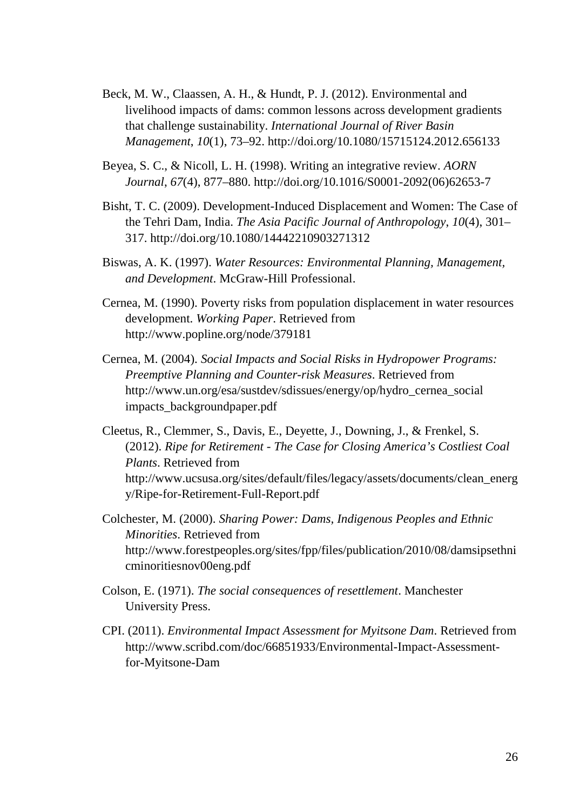- Beck, M. W., Claassen, A. H., & Hundt, P. J. (2012). Environmental and livelihood impacts of dams: common lessons across development gradients that challenge sustainability. *International Journal of River Basin Management*, *10*(1), 73–92. http://doi.org/10.1080/15715124.2012.656133
- Beyea, S. C., & Nicoll, L. H. (1998). Writing an integrative review. *AORN Journal*, *67*(4), 877–880. http://doi.org/10.1016/S0001-2092(06)62653-7
- Bisht, T. C. (2009). Development-Induced Displacement and Women: The Case of the Tehri Dam, India. *The Asia Pacific Journal of Anthropology*, *10*(4), 301– 317. http://doi.org/10.1080/14442210903271312
- Biswas, A. K. (1997). *Water Resources: Environmental Planning, Management, and Development*. McGraw-Hill Professional.
- Cernea, M. (1990). Poverty risks from population displacement in water resources development. *Working Paper*. Retrieved from http://www.popline.org/node/379181
- Cernea, M. (2004). *Social Impacts and Social Risks in Hydropower Programs: Preemptive Planning and Counter-risk Measures*. Retrieved from http://www.un.org/esa/sustdev/sdissues/energy/op/hydro\_cernea\_social impacts\_backgroundpaper.pdf
- Cleetus, R., Clemmer, S., Davis, E., Deyette, J., Downing, J., & Frenkel, S. (2012). *Ripe for Retirement - The Case for Closing America's Costliest Coal Plants*. Retrieved from http://www.ucsusa.org/sites/default/files/legacy/assets/documents/clean\_energ y/Ripe-for-Retirement-Full-Report.pdf
- Colchester, M. (2000). *Sharing Power: Dams, Indigenous Peoples and Ethnic Minorities*. Retrieved from http://www.forestpeoples.org/sites/fpp/files/publication/2010/08/damsipsethni cminoritiesnov00eng.pdf
- Colson, E. (1971). *The social consequences of resettlement*. Manchester University Press.
- CPI. (2011). *Environmental Impact Assessment for Myitsone Dam*. Retrieved from http://www.scribd.com/doc/66851933/Environmental-Impact-Assessmentfor-Myitsone-Dam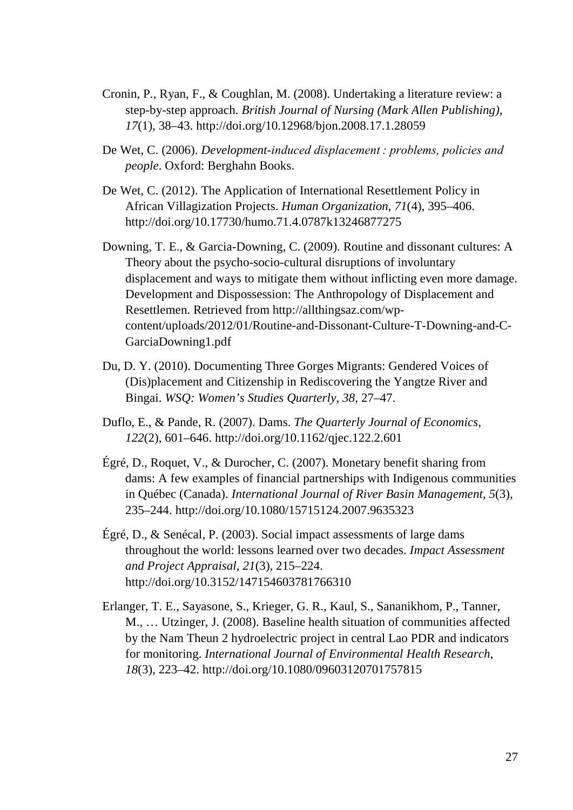- Cronin, P., Ryan, F., & Coughlan, M. (2008). Undertaking a literature review: a step-by-step approach. *British Journal of Nursing (Mark Allen Publishing)*, *17*(1), 38–43. http://doi.org/10.12968/bjon.2008.17.1.28059
- De Wet, C. (2006). *Development-induced displacement : problems, policies and people*. Oxford: Berghahn Books.
- De Wet, C. (2012). The Application of International Resettlement Policy in African Villagization Projects. *Human Organization*, *71*(4), 395–406. http://doi.org/10.17730/humo.71.4.0787k13246877275
- Downing, T. E., & Garcia-Downing, C. (2009). Routine and dissonant cultures: A Theory about the psycho-socio-cultural disruptions of involuntary displacement and ways to mitigate them without inflicting even more damage. Development and Dispossession: The Anthropology of Displacement and Resettlemen. Retrieved from http://allthingsaz.com/wpcontent/uploads/2012/01/Routine-and-Dissonant-Culture-T-Downing-and-C-GarciaDowning1.pdf
- Du, D. Y. (2010). Documenting Three Gorges Migrants: Gendered Voices of (Dis)placement and Citizenship in Rediscovering the Yangtze River and Bingai. *WSQ: Women's Studies Quarterly*, *38*, 27–47.
- Duflo, E., & Pande, R. (2007). Dams. *The Quarterly Journal of Economics*, *122*(2), 601–646. http://doi.org/10.1162/qjec.122.2.601
- Égré, D., Roquet, V., & Durocher, C. (2007). Monetary benefit sharing from dams: A few examples of financial partnerships with Indigenous communities in Québec (Canada). *International Journal of River Basin Management*, *5*(3), 235–244. http://doi.org/10.1080/15715124.2007.9635323
- Égré, D., & Senécal, P. (2003). Social impact assessments of large dams throughout the world: lessons learned over two decades. *Impact Assessment and Project Appraisal*, *21*(3), 215–224. http://doi.org/10.3152/147154603781766310
- Erlanger, T. E., Sayasone, S., Krieger, G. R., Kaul, S., Sananikhom, P., Tanner, M., … Utzinger, J. (2008). Baseline health situation of communities affected by the Nam Theun 2 hydroelectric project in central Lao PDR and indicators for monitoring. *International Journal of Environmental Health Research*, *18*(3), 223–42. http://doi.org/10.1080/09603120701757815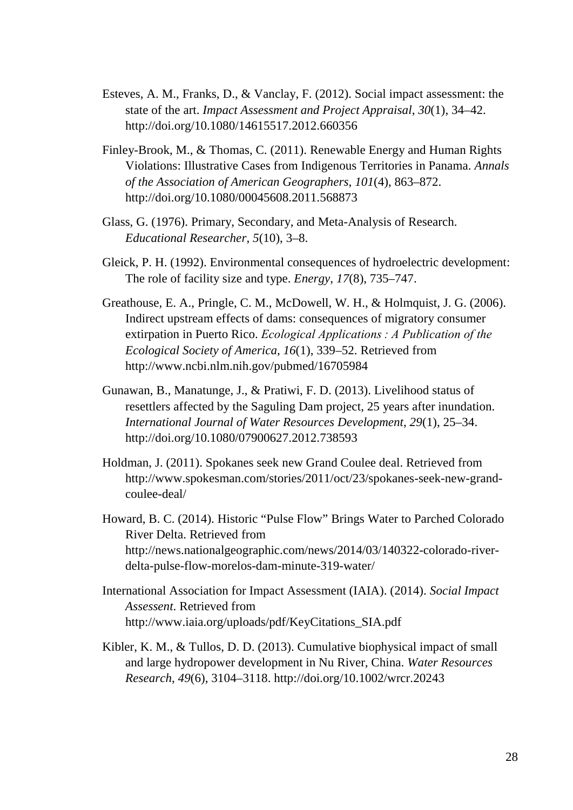- Esteves, A. M., Franks, D., & Vanclay, F. (2012). Social impact assessment: the state of the art. *Impact Assessment and Project Appraisal*, *30*(1), 34–42. http://doi.org/10.1080/14615517.2012.660356
- Finley-Brook, M., & Thomas, C. (2011). Renewable Energy and Human Rights Violations: Illustrative Cases from Indigenous Territories in Panama. *Annals of the Association of American Geographers*, *101*(4), 863–872. http://doi.org/10.1080/00045608.2011.568873
- Glass, G. (1976). Primary, Secondary, and Meta-Analysis of Research. *Educational Researcher*, *5*(10), 3–8.
- Gleick, P. H. (1992). Environmental consequences of hydroelectric development: The role of facility size and type. *Energy*, *17*(8), 735–747.
- Greathouse, E. A., Pringle, C. M., McDowell, W. H., & Holmquist, J. G. (2006). Indirect upstream effects of dams: consequences of migratory consumer extirpation in Puerto Rico. *Ecological Applications : A Publication of the Ecological Society of America*, *16*(1), 339–52. Retrieved from http://www.ncbi.nlm.nih.gov/pubmed/16705984
- Gunawan, B., Manatunge, J., & Pratiwi, F. D. (2013). Livelihood status of resettlers affected by the Saguling Dam project, 25 years after inundation. *International Journal of Water Resources Development*, *29*(1), 25–34. http://doi.org/10.1080/07900627.2012.738593
- Holdman, J. (2011). Spokanes seek new Grand Coulee deal. Retrieved from http://www.spokesman.com/stories/2011/oct/23/spokanes-seek-new-grandcoulee-deal/
- Howard, B. C. (2014). Historic "Pulse Flow" Brings Water to Parched Colorado River Delta. Retrieved from http://news.nationalgeographic.com/news/2014/03/140322-colorado-riverdelta-pulse-flow-morelos-dam-minute-319-water/
- International Association for Impact Assessment (IAIA). (2014). *Social Impact Assessent*. Retrieved from http://www.iaia.org/uploads/pdf/KeyCitations\_SIA.pdf
- Kibler, K. M., & Tullos, D. D. (2013). Cumulative biophysical impact of small and large hydropower development in Nu River, China. *Water Resources Research*, *49*(6), 3104–3118. http://doi.org/10.1002/wrcr.20243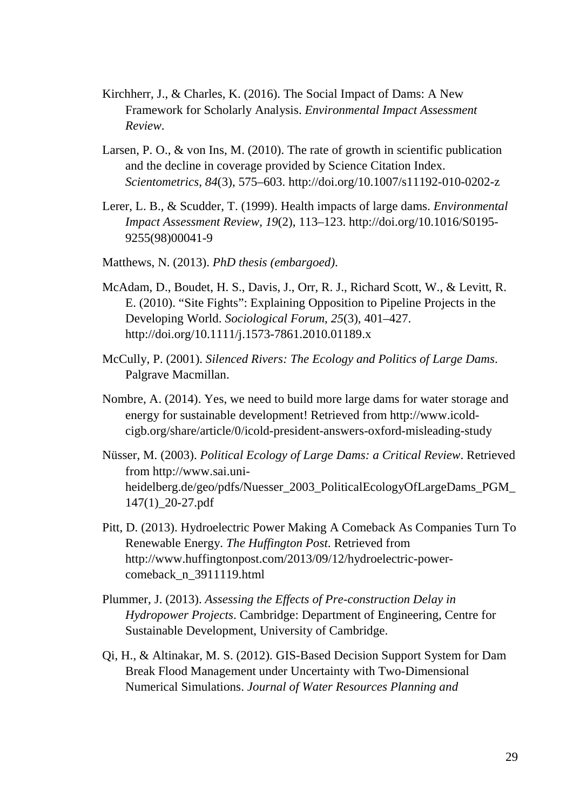- Kirchherr, J., & Charles, K. (2016). The Social Impact of Dams: A New Framework for Scholarly Analysis. *Environmental Impact Assessment Review*.
- Larsen, P. O., & von Ins, M. (2010). The rate of growth in scientific publication and the decline in coverage provided by Science Citation Index. *Scientometrics*, *84*(3), 575–603. http://doi.org/10.1007/s11192-010-0202-z
- Lerer, L. B., & Scudder, T. (1999). Health impacts of large dams. *Environmental Impact Assessment Review*, *19*(2), 113–123. http://doi.org/10.1016/S0195- 9255(98)00041-9
- Matthews, N. (2013). *PhD thesis (embargoed)*.
- McAdam, D., Boudet, H. S., Davis, J., Orr, R. J., Richard Scott, W., & Levitt, R. E. (2010). "Site Fights": Explaining Opposition to Pipeline Projects in the Developing World. *Sociological Forum*, *25*(3), 401–427. http://doi.org/10.1111/j.1573-7861.2010.01189.x
- McCully, P. (2001). *Silenced Rivers: The Ecology and Politics of Large Dams*. Palgrave Macmillan.
- Nombre, A. (2014). Yes, we need to build more large dams for water storage and energy for sustainable development! Retrieved from http://www.icoldcigb.org/share/article/0/icold-president-answers-oxford-misleading-study
- Nüsser, M. (2003). *Political Ecology of Large Dams: a Critical Review*. Retrieved from http://www.sai.uniheidelberg.de/geo/pdfs/Nuesser\_2003\_PoliticalEcologyOfLargeDams\_PGM\_ 147(1)\_20-27.pdf
- Pitt, D. (2013). Hydroelectric Power Making A Comeback As Companies Turn To Renewable Energy. *The Huffington Post*. Retrieved from http://www.huffingtonpost.com/2013/09/12/hydroelectric-powercomeback\_n\_3911119.html
- Plummer, J. (2013). *Assessing the Effects of Pre-construction Delay in Hydropower Projects*. Cambridge: Department of Engineering, Centre for Sustainable Development, University of Cambridge.
- Qi, H., & Altinakar, M. S. (2012). GIS-Based Decision Support System for Dam Break Flood Management under Uncertainty with Two-Dimensional Numerical Simulations. *Journal of Water Resources Planning and*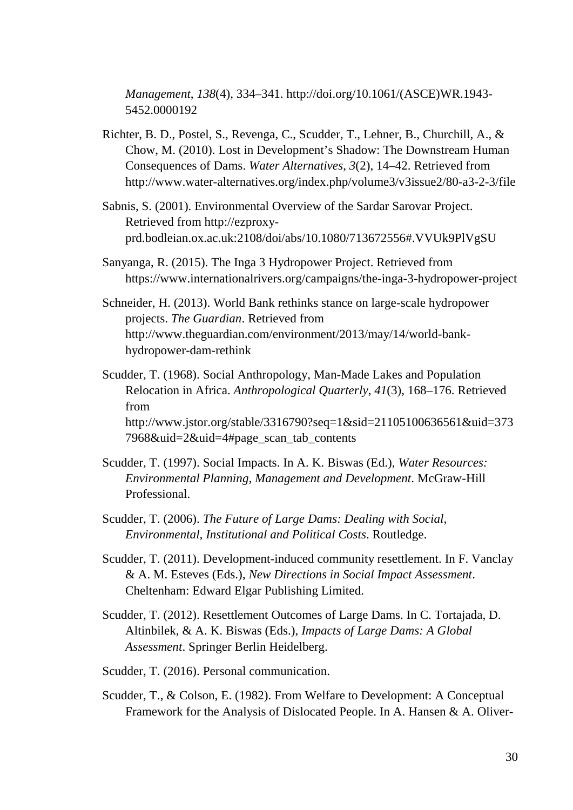*Management*, *138*(4), 334–341. http://doi.org/10.1061/(ASCE)WR.1943- 5452.0000192

- Richter, B. D., Postel, S., Revenga, C., Scudder, T., Lehner, B., Churchill, A., & Chow, M. (2010). Lost in Development's Shadow: The Downstream Human Consequences of Dams. *Water Alternatives*, *3*(2), 14–42. Retrieved from http://www.water-alternatives.org/index.php/volume3/v3issue2/80-a3-2-3/file
- Sabnis, S. (2001). Environmental Overview of the Sardar Sarovar Project. Retrieved from http://ezproxyprd.bodleian.ox.ac.uk:2108/doi/abs/10.1080/713672556#.VVUk9PlVgSU
- Sanyanga, R. (2015). The Inga 3 Hydropower Project. Retrieved from https://www.internationalrivers.org/campaigns/the-inga-3-hydropower-project
- Schneider, H. (2013). World Bank rethinks stance on large-scale hydropower projects. *The Guardian*. Retrieved from http://www.theguardian.com/environment/2013/may/14/world-bankhydropower-dam-rethink
- Scudder, T. (1968). Social Anthropology, Man-Made Lakes and Population Relocation in Africa. *Anthropological Quarterly*, *41*(3), 168–176. Retrieved from http://www.jstor.org/stable/3316790?seq=1&sid=21105100636561&uid=373 7968&uid=2&uid=4#page\_scan\_tab\_contents
- Scudder, T. (1997). Social Impacts. In A. K. Biswas (Ed.), *Water Resources: Environmental Planning, Management and Development*. McGraw-Hill Professional.
- Scudder, T. (2006). *The Future of Large Dams: Dealing with Social, Environmental, Institutional and Political Costs*. Routledge.
- Scudder, T. (2011). Development-induced community resettlement. In F. Vanclay & A. M. Esteves (Eds.), *New Directions in Social Impact Assessment*. Cheltenham: Edward Elgar Publishing Limited.
- Scudder, T. (2012). Resettlement Outcomes of Large Dams. In C. Tortajada, D. Altinbilek, & A. K. Biswas (Eds.), *Impacts of Large Dams: A Global Assessment*. Springer Berlin Heidelberg.
- Scudder, T. (2016). Personal communication.
- Scudder, T., & Colson, E. (1982). From Welfare to Development: A Conceptual Framework for the Analysis of Dislocated People. In A. Hansen & A. Oliver-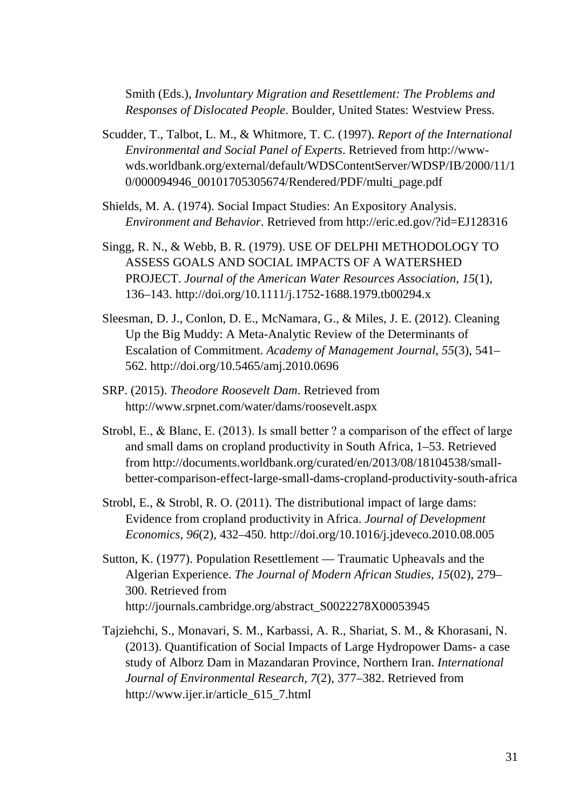Smith (Eds.), *Involuntary Migration and Resettlement: The Problems and Responses of Dislocated People*. Boulder, United States: Westview Press.

- Scudder, T., Talbot, L. M., & Whitmore, T. C. (1997). *Report of the International Environmental and Social Panel of Experts*. Retrieved from http://wwwwds.worldbank.org/external/default/WDSContentServer/WDSP/IB/2000/11/1 0/000094946\_00101705305674/Rendered/PDF/multi\_page.pdf
- Shields, M. A. (1974). Social Impact Studies: An Expository Analysis. *Environment and Behavior*. Retrieved from http://eric.ed.gov/?id=EJ128316
- Singg, R. N., & Webb, B. R. (1979). USE OF DELPHI METHODOLOGY TO ASSESS GOALS AND SOCIAL IMPACTS OF A WATERSHED PROJECT. *Journal of the American Water Resources Association*, *15*(1), 136–143. http://doi.org/10.1111/j.1752-1688.1979.tb00294.x
- Sleesman, D. J., Conlon, D. E., McNamara, G., & Miles, J. E. (2012). Cleaning Up the Big Muddy: A Meta-Analytic Review of the Determinants of Escalation of Commitment. *Academy of Management Journal*, *55*(3), 541– 562. http://doi.org/10.5465/amj.2010.0696
- SRP. (2015). *Theodore Roosevelt Dam*. Retrieved from http://www.srpnet.com/water/dams/roosevelt.aspx
- Strobl, E., & Blanc, E. (2013). Is small better ? a comparison of the effect of large and small dams on cropland productivity in South Africa, 1–53. Retrieved from http://documents.worldbank.org/curated/en/2013/08/18104538/smallbetter-comparison-effect-large-small-dams-cropland-productivity-south-africa
- Strobl, E., & Strobl, R. O. (2011). The distributional impact of large dams: Evidence from cropland productivity in Africa. *Journal of Development Economics*, *96*(2), 432–450. http://doi.org/10.1016/j.jdeveco.2010.08.005
- Sutton, K. (1977). Population Resettlement Traumatic Upheavals and the Algerian Experience. *The Journal of Modern African Studies*, *15*(02), 279– 300. Retrieved from http://journals.cambridge.org/abstract\_S0022278X00053945
- Tajziehchi, S., Monavari, S. M., Karbassi, A. R., Shariat, S. M., & Khorasani, N. (2013). Quantification of Social Impacts of Large Hydropower Dams- a case study of Alborz Dam in Mazandaran Province, Northern Iran. *International Journal of Environmental Research*, *7*(2), 377–382. Retrieved from http://www.ijer.ir/article\_615\_7.html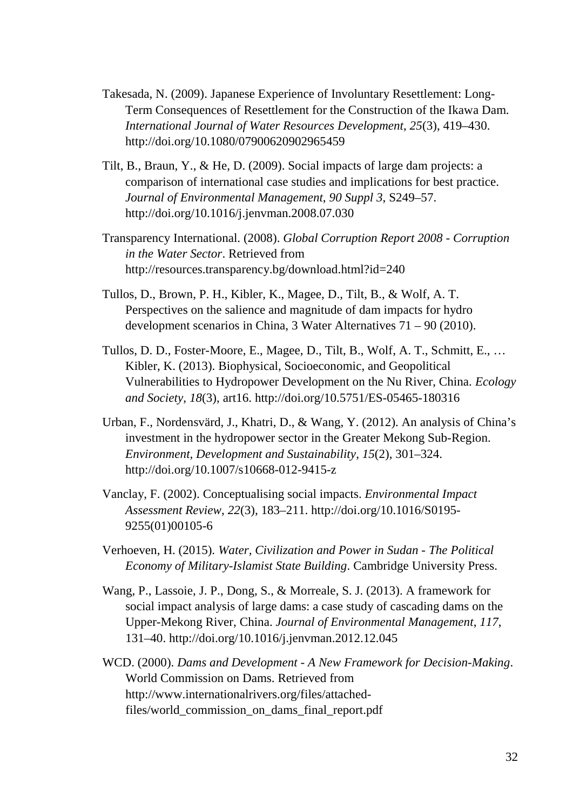- Takesada, N. (2009). Japanese Experience of Involuntary Resettlement: Long-Term Consequences of Resettlement for the Construction of the Ikawa Dam. *International Journal of Water Resources Development*, *25*(3), 419–430. http://doi.org/10.1080/07900620902965459
- Tilt, B., Braun, Y., & He, D. (2009). Social impacts of large dam projects: a comparison of international case studies and implications for best practice. *Journal of Environmental Management*, *90 Suppl 3*, S249–57. http://doi.org/10.1016/j.jenvman.2008.07.030
- Transparency International. (2008). *Global Corruption Report 2008 - Corruption in the Water Sector*. Retrieved from http://resources.transparency.bg/download.html?id=240
- Tullos, D., Brown, P. H., Kibler, K., Magee, D., Tilt, B., & Wolf, A. T. Perspectives on the salience and magnitude of dam impacts for hydro development scenarios in China, 3 Water Alternatives 71 – 90 (2010).
- Tullos, D. D., Foster-Moore, E., Magee, D., Tilt, B., Wolf, A. T., Schmitt, E., … Kibler, K. (2013). Biophysical, Socioeconomic, and Geopolitical Vulnerabilities to Hydropower Development on the Nu River, China. *Ecology and Society*, *18*(3), art16. http://doi.org/10.5751/ES-05465-180316
- Urban, F., Nordensvärd, J., Khatri, D., & Wang, Y. (2012). An analysis of China's investment in the hydropower sector in the Greater Mekong Sub-Region. *Environment, Development and Sustainability*, *15*(2), 301–324. http://doi.org/10.1007/s10668-012-9415-z
- Vanclay, F. (2002). Conceptualising social impacts. *Environmental Impact Assessment Review*, *22*(3), 183–211. http://doi.org/10.1016/S0195- 9255(01)00105-6
- Verhoeven, H. (2015). *Water, Civilization and Power in Sudan - The Political Economy of Military-Islamist State Building*. Cambridge University Press.
- Wang, P., Lassoie, J. P., Dong, S., & Morreale, S. J. (2013). A framework for social impact analysis of large dams: a case study of cascading dams on the Upper-Mekong River, China. *Journal of Environmental Management*, *117*, 131–40. http://doi.org/10.1016/j.jenvman.2012.12.045
- WCD. (2000). *Dams and Development - A New Framework for Decision-Making*. World Commission on Dams. Retrieved from http://www.internationalrivers.org/files/attachedfiles/world\_commission\_on\_dams\_final\_report.pdf